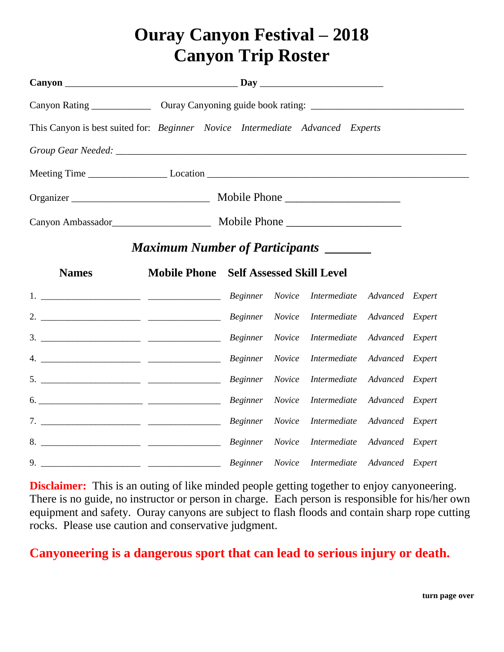## **Ouray Canyon Festival – 2018 Canyon Trip Roster**

| This Canyon is best suited for: Beginner Novice Intermediate Advanced Experts |                                               |  |  |  |  |  |  |  |
|-------------------------------------------------------------------------------|-----------------------------------------------|--|--|--|--|--|--|--|
|                                                                               |                                               |  |  |  |  |  |  |  |
|                                                                               |                                               |  |  |  |  |  |  |  |
|                                                                               |                                               |  |  |  |  |  |  |  |
| Canyon Ambassador<br><u>Mobile Phone</u>                                      |                                               |  |  |  |  |  |  |  |
| <b>Maximum Number of Participants</b> _______                                 |                                               |  |  |  |  |  |  |  |
| <b>Names</b>                                                                  | <b>Mobile Phone</b> Self Assessed Skill Level |  |  |  |  |  |  |  |
|                                                                               |                                               |  |  |  |  |  |  |  |
|                                                                               |                                               |  |  |  |  |  |  |  |
|                                                                               |                                               |  |  |  |  |  |  |  |
|                                                                               |                                               |  |  |  |  |  |  |  |
|                                                                               |                                               |  |  |  |  |  |  |  |
|                                                                               |                                               |  |  |  |  |  |  |  |
|                                                                               |                                               |  |  |  |  |  |  |  |
|                                                                               |                                               |  |  |  |  |  |  |  |
|                                                                               |                                               |  |  |  |  |  |  |  |

**Disclaimer:** This is an outing of like minded people getting together to enjoy canyoneering. There is no guide, no instructor or person in charge. Each person is responsible for his/her own equipment and safety. Ouray canyons are subject to flash floods and contain sharp rope cutting rocks. Please use caution and conservative judgment.

## **Canyoneering is a dangerous sport that can lead to serious injury or death.**